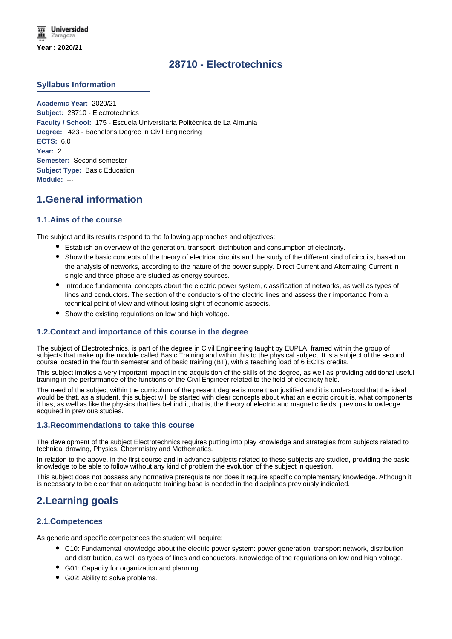# **28710 - Electrotechnics**

# **Syllabus Information**

**Academic Year:** 2020/21 **Subject:** 28710 - Electrotechnics **Faculty / School:** 175 - Escuela Universitaria Politécnica de La Almunia **Degree:** 423 - Bachelor's Degree in Civil Engineering **ECTS:** 6.0 **Year:** 2 **Semester:** Second semester **Subject Type:** Basic Education **Module:** ---

# **1.General information**

## **1.1.Aims of the course**

The subject and its results respond to the following approaches and objectives:

- Establish an overview of the generation, transport, distribution and consumption of electricity.
- Show the basic concepts of the theory of electrical circuits and the study of the different kind of circuits, based on the analysis of networks, according to the nature of the power supply. Direct Current and Alternating Current in single and three-phase are studied as energy sources.
- Introduce fundamental concepts about the electric power system, classification of networks, as well as types of lines and conductors. The section of the conductors of the electric lines and assess their importance from a technical point of view and without losing sight of economic aspects.
- Show the existing regulations on low and high voltage.

# **1.2.Context and importance of this course in the degree**

The subject of Electrotechnics, is part of the degree in Civil Engineering taught by EUPLA, framed within the group of subjects that make up the module called Basic Training and within this to the physical subject. It is a subject of the second course located in the fourth semester and of basic training (BT), with a teaching load of 6 ECTS credits.

This subject implies a very important impact in the acquisition of the skills of the degree, as well as providing additional useful training in the performance of the functions of the Civil Engineer related to the field of electricity field.

The need of the subject within the curriculum of the present degree is more than justified and it is understood that the ideal would be that, as a student, this subject will be started with clear concepts about what an electric circuit is, what components it has, as well as like the physics that lies behind it, that is, the theory of electric and magnetic fields, previous knowledge acquired in previous studies.

## **1.3.Recommendations to take this course**

The development of the subject Electrotechnics requires putting into play knowledge and strategies from subjects related to technical drawing, Physics, Chemmistry and Mathematics.

In relation to the above, in the first course and in advance subjects related to these subjects are studied, providing the basic knowledge to be able to follow without any kind of problem the evolution of the subject in question.

This subject does not possess any normative prerequisite nor does it require specific complementary knowledge. Although it is necessary to be clear that an adequate training base is needed in the disciplines previously indicated.

# **2.Learning goals**

## **2.1.Competences**

As generic and specific competences the student will acquire:

- C10: Fundamental knowledge about the electric power system: power generation, transport network, distribution and distribution, as well as types of lines and conductors. Knowledge of the regulations on low and high voltage.
- **G01: Capacity for organization and planning.**
- G02: Ability to solve problems.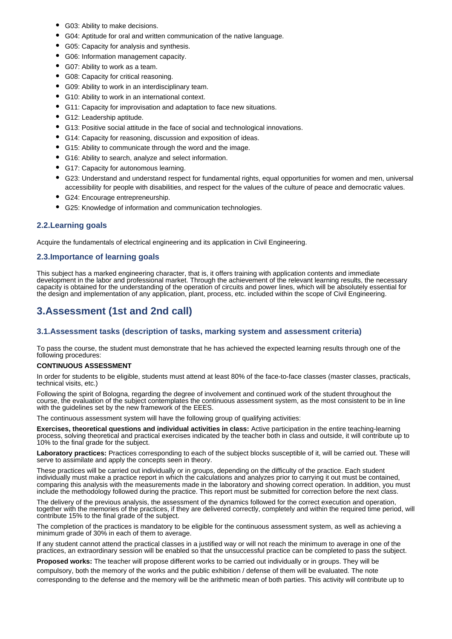- G03: Ability to make decisions.
- G04: Aptitude for oral and written communication of the native language.
- G05: Capacity for analysis and synthesis.
- G06: Information management capacity.
- G07: Ability to work as a team.
- G08: Capacity for critical reasoning.
- G09: Ability to work in an interdisciplinary team.
- G10: Ability to work in an international context.
- G11: Capacity for improvisation and adaptation to face new situations.
- G12: Leadership aptitude.
- G13: Positive social attitude in the face of social and technological innovations.
- G14: Capacity for reasoning, discussion and exposition of ideas.
- G15: Ability to communicate through the word and the image.
- G16: Ability to search, analyze and select information.
- G17: Capacity for autonomous learning.
- G23: Understand and understand respect for fundamental rights, equal opportunities for women and men, universal accessibility for people with disabilities, and respect for the values of the culture of peace and democratic values.
- G24: Encourage entrepreneurship.
- G25: Knowledge of information and communication technologies.

## **2.2.Learning goals**

Acquire the fundamentals of electrical engineering and its application in Civil Engineering.

## **2.3.Importance of learning goals**

This subject has a marked engineering character, that is, it offers training with application contents and immediate development in the labor and professional market. Through the achievement of the relevant learning results, the necessary capacity is obtained for the understanding of the operation of circuits and power lines, which will be absolutely essential for the design and implementation of any application, plant, process, etc. included within the scope of Civil Engineering.

# **3.Assessment (1st and 2nd call)**

## **3.1.Assessment tasks (description of tasks, marking system and assessment criteria)**

To pass the course, the student must demonstrate that he has achieved the expected learning results through one of the following procedures:

#### **CONTINUOUS ASSESSMENT**

In order for students to be eligible, students must attend at least 80% of the face-to-face classes (master classes, practicals, technical visits, etc.)

Following the spirit of Bologna, regarding the degree of involvement and continued work of the student throughout the course, the evaluation of the subject contemplates the continuous assessment system, as the most consistent to be in line with the guidelines set by the new framework of the EEES.

The continuous assessment system will have the following group of qualifying activities:

**Exercises, theoretical questions and individual activities in class:** Active participation in the entire teaching-learning process, solving theoretical and practical exercises indicated by the teacher both in class and outside, it will contribute up to 10% to the final grade for the subject.

**Laboratory practices:** Practices corresponding to each of the subject blocks susceptible of it, will be carried out. These will serve to assimilate and apply the concepts seen in theory.

These practices will be carried out individually or in groups, depending on the difficulty of the practice. Each student individually must make a practice report in which the calculations and analyzes prior to carrying it out must be contained, comparing this analysis with the measurements made in the laboratory and showing correct operation. In addition, you must include the methodology followed during the practice. This report must be submitted for correction before the next class.

The delivery of the previous analysis, the assessment of the dynamics followed for the correct execution and operation, together with the memories of the practices, if they are delivered correctly, completely and within the required time period, will contribute 15% to the final grade of the subject.

The completion of the practices is mandatory to be eligible for the continuous assessment system, as well as achieving a minimum grade of 30% in each of them to average.

If any student cannot attend the practical classes in a justified way or will not reach the minimum to average in one of the practices, an extraordinary session will be enabled so that the unsuccessful practice can be completed to pass the subject.

**Proposed works:** The teacher will propose different works to be carried out individually or in groups. They will be compulsory, both the memory of the works and the public exhibition / defense of them will be evaluated. The note corresponding to the defense and the memory will be the arithmetic mean of both parties. This activity will contribute up to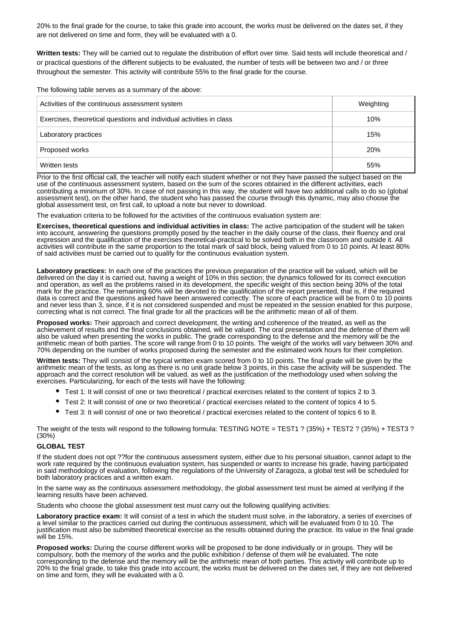20% to the final grade for the course, to take this grade into account, the works must be delivered on the dates set, if they are not delivered on time and form, they will be evaluated with a 0.

**Written tests:** They will be carried out to regulate the distribution of effort over time. Said tests will include theoretical and / or practical questions of the different subjects to be evaluated, the number of tests will be between two and / or three throughout the semester. This activity will contribute 55% to the final grade for the course.

The following table serves as a summary of the above:

| Activities of the continuous assessment system                      | Weighting  |
|---------------------------------------------------------------------|------------|
| Exercises, theoretical questions and individual activities in class | 10%        |
| Laboratory practices                                                | 15%        |
| Proposed works                                                      | <b>20%</b> |
| Written tests                                                       | 55%        |

Prior to the first official call, the teacher will notify each student whether or not they have passed the subject based on the use of the continuous assessment system, based on the sum of the scores obtained in the different activities, each contributing a minimum of 30%. In case of not passing in this way, the student will have two additional calls to do so (global assessment test), on the other hand, the student who has passed the course through this dynamic, may also choose the global assessment test, on first call, to upload a note but never to download.

The evaluation criteria to be followed for the activities of the continuous evaluation system are:

**Exercises, theoretical questions and individual activities in class:** The active participation of the student will be taken into account, answering the questions promptly posed by the teacher in the daily course of the class, their fluency and oral expression and the qualification of the exercises theoretical-practical to be solved both in the classroom and outside it. All activities will contribute in the same proportion to the total mark of said block, being valued from 0 to 10 points. At least 80% of said activities must be carried out to qualify for the continuous evaluation system.

**Laboratory practices:** In each one of the practices the previous preparation of the practice will be valued, which will be delivered on the day it is carried out, having a weight of 10% in this section; the dynamics followed for its correct execution and operation, as well as the problems raised in its development, the specific weight of this section being 30% of the total mark for the practice. The remaining 60% will be devoted to the qualification of the report presented, that is, if the required data is correct and the questions asked have been answered correctly. The score of each practice will be from 0 to 10 points and never less than 3, since, if it is not considered suspended and must be repeated in the session enabled for this purpose. correcting what is not correct. The final grade for all the practices will be the arithmetic mean of all of them.

**Proposed works:** Their approach and correct development, the writing and coherence of the treated, as well as the achievement of results and the final conclusions obtained, will be valued. The oral presentation and the defense of them will also be valued when presenting the works in public. The grade corresponding to the defense and the memory will be the arithmetic mean of both parties. The score will range from 0 to 10 points. The weight of the works will vary between 30% and 70% depending on the number of works proposed during the semester and the estimated work hours for their completion.

**Written tests:** They will consist of the typical written exam scored from 0 to 10 points. The final grade will be given by the arithmetic mean of the tests, as long as there is no unit grade below 3 points, in this case the activity will be suspended. The approach and the correct resolution will be valued, as well as the justification of the methodology used when solving the exercises. Particularizing, for each of the tests will have the following:

- Test 1: It will consist of one or two theoretical / practical exercises related to the content of topics 2 to 3.
- Test 2: It will consist of one or two theoretical / practical exercises related to the content of topics 4 to 5.
- Test 3: It will consist of one or two theoretical / practical exercises related to the content of topics 6 to 8.

The weight of the tests will respond to the following formula: TESTING NOTE = TEST1 ? (35%) + TEST2 ? (35%) + TEST3 ? (30%)

#### **GLOBAL TEST**

If the student does not opt ??for the continuous assessment system, either due to his personal situation, cannot adapt to the work rate required by the continuous evaluation system, has suspended or wants to increase his grade, having participated in said methodology of evaluation, following the regulations of the University of Zaragoza, a global test will be scheduled for both laboratory practices and a written exam.

In the same way as the continuous assessment methodology, the global assessment test must be aimed at verifying if the learning results have been achieved.

Students who choose the global assessment test must carry out the following qualifying activities:

**Laboratory practice exam:** It will consist of a test in which the student must solve, in the laboratory, a series of exercises of a level similar to the practices carried out during the continuous assessment, which will be evaluated from 0 to 10. The justification must also be submitted theoretical exercise as the results obtained during the practice. Its value in the final grade will be 15%.

**Proposed works:** During the course different works will be proposed to be done individually or in groups. They will be compulsory, both the memory of the works and the public exhibition / defense of them will be evaluated. The note corresponding to the defense and the memory will be the arithmetic mean of both parties. This activity will contribute up to 20% to the final grade, to take this grade into account, the works must be delivered on the dates set, if they are not delivered on time and form, they will be evaluated with a 0.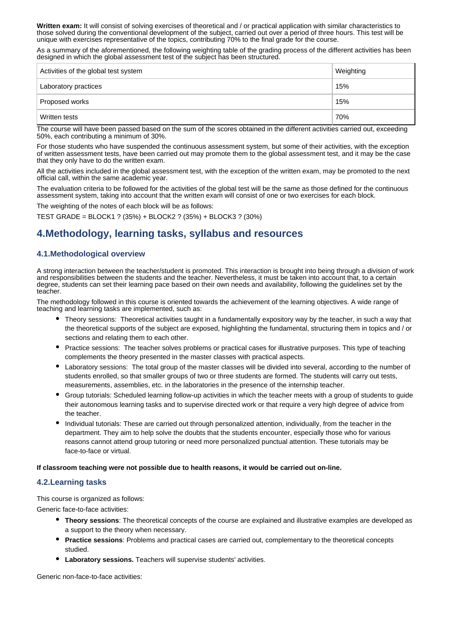**Written exam:** It will consist of solving exercises of theoretical and / or practical application with similar characteristics to those solved during the conventional development of the subject, carried out over a period of three hours. This test will be unique with exercises representative of the topics, contributing 70% to the final grade for the course.

As a summary of the aforementioned, the following weighting table of the grading process of the different activities has been designed in which the global assessment test of the subject has been structured.

| Activities of the global test system | Weighting |
|--------------------------------------|-----------|
| Laboratory practices                 | 15%       |
| Proposed works                       | 15%       |
| Written tests                        | 70%       |

The course will have been passed based on the sum of the scores obtained in the different activities carried out, exceeding 50%, each contributing a minimum of 30%.

For those students who have suspended the continuous assessment system, but some of their activities, with the exception of written assessment tests, have been carried out may promote them to the global assessment test, and it may be the case that they only have to do the written exam.

All the activities included in the global assessment test, with the exception of the written exam, may be promoted to the next official call, within the same academic year.

The evaluation criteria to be followed for the activities of the global test will be the same as those defined for the continuous assessment system, taking into account that the written exam will consist of one or two exercises for each block.

The weighting of the notes of each block will be as follows:

TEST GRADE = BLOCK1 ? (35%) + BLOCK2 ? (35%) + BLOCK3 ? (30%)

# **4.Methodology, learning tasks, syllabus and resources**

## **4.1.Methodological overview**

A strong interaction between the teacher/student is promoted. This interaction is brought into being through a division of work and responsibilities between the students and the teacher. Nevertheless, it must be taken into account that, to a certain degree, students can set their learning pace based on their own needs and availability, following the guidelines set by the teacher.

The methodology followed in this course is oriented towards the achievement of the learning objectives. A wide range of teaching and learning tasks are implemented, such as:

- Theory sessions: Theoretical activities taught in a fundamentally expository way by the teacher, in such a way that the theoretical supports of the subject are exposed, highlighting the fundamental, structuring them in topics and / or sections and relating them to each other.
- Practice sessions: The teacher solves problems or practical cases for illustrative purposes. This type of teaching complements the theory presented in the master classes with practical aspects.
- Laboratory sessions: The total group of the master classes will be divided into several, according to the number of students enrolled, so that smaller groups of two or three students are formed. The students will carry out tests, measurements, assemblies, etc. in the laboratories in the presence of the internship teacher.
- Group tutorials: Scheduled learning follow-up activities in which the teacher meets with a group of students to guide their autonomous learning tasks and to supervise directed work or that require a very high degree of advice from the teacher.
- Individual tutorials: These are carried out through personalized attention, individually, from the teacher in the department. They aim to help solve the doubts that the students encounter, especially those who for various reasons cannot attend group tutoring or need more personalized punctual attention. These tutorials may be face-to-face or virtual.

#### **If classroom teaching were not possible due to health reasons, it would be carried out on-line.**

# **4.2.Learning tasks**

This course is organized as follows:

Generic face-to-face activities:

- **Theory sessions**: The theoretical concepts of the course are explained and illustrative examples are developed as a support to the theory when necessary.
- **Practice sessions**: Problems and practical cases are carried out, complementary to the theoretical concepts studied.
- **Laboratory sessions.** Teachers will supervise students' activities.

Generic non-face-to-face activities: